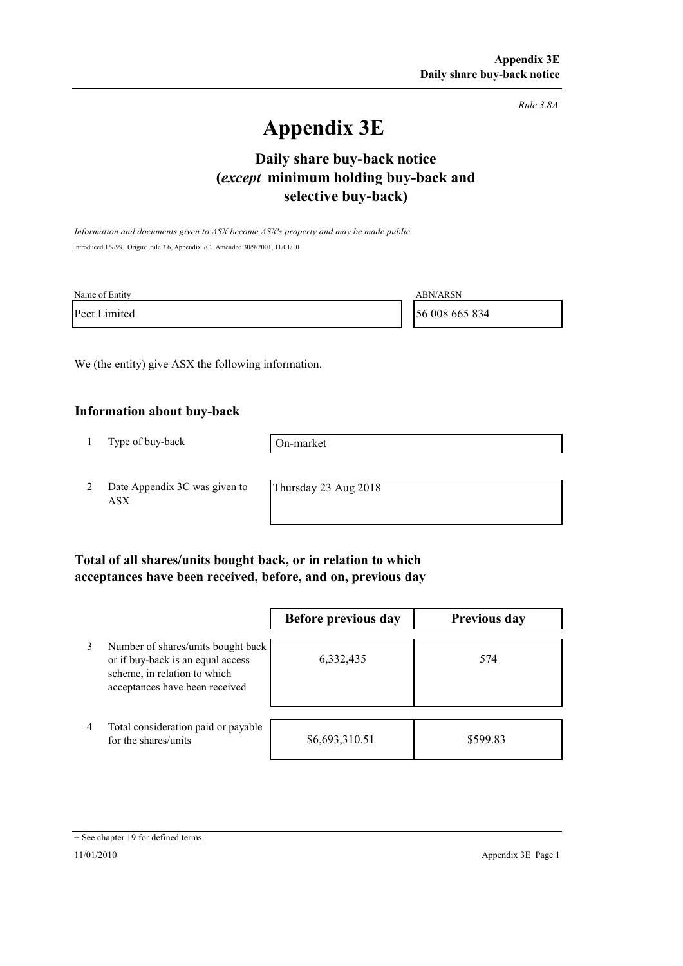*Rule 3.8A*

# **Appendix 3E**

# **selective buy-back) Daily share buy-back notice (***except* **minimum holding buy-back and**

*Information and documents given to ASX become ASX's property and may be made public.* Introduced 1/9/99. Origin: rule 3.6, Appendix 7C. Amended 30/9/2001, 11/01/10

| Name of Entity | <b>ABN/ARSN</b> |
|----------------|-----------------|
| Peet Limited   | 56 008 665 834  |

We (the entity) give ASX the following information.

#### **Information about buy-back**

1 Type of buy-back

On-market

2 Date Appendix 3C was given to ASX

Thursday 23 Aug 2018

### **Total of all shares/units bought back, or in relation to which acceptances have been received, before, and on, previous day**

|                |                                                                                                                                           | Before previous day | <b>Previous day</b> |
|----------------|-------------------------------------------------------------------------------------------------------------------------------------------|---------------------|---------------------|
| 3              | Number of shares/units bought back<br>or if buy-back is an equal access<br>scheme, in relation to which<br>acceptances have been received | 6,332,435           | 574                 |
| $\overline{4}$ | Total consideration paid or payable<br>for the shares/units                                                                               | \$6,693,310.51      | \$599.83            |

<sup>+</sup> See chapter 19 for defined terms.